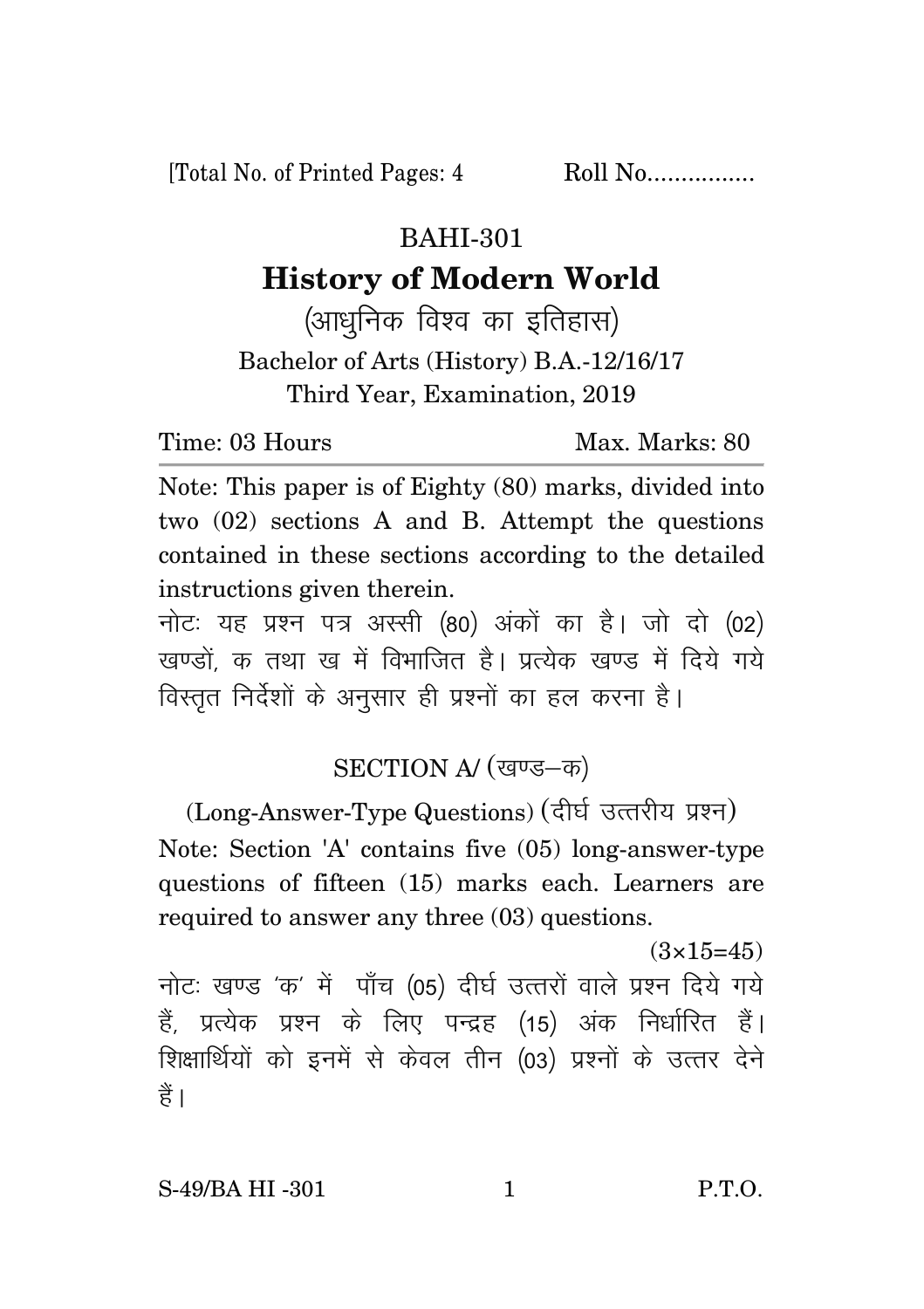[Total No. of Printed Pages: 4 Roll No.................

## BAHI-301

## **History of Modern World**

(आधुनिक विश्व का इतिहास) Bachelor of Arts (History) B.A.-12/16/17 Third Year, Examination, 2019

Time: 03 Hours Max. Marks: 80

Note: This paper is of Eighty (80) marks, divided into two (02) sections A and B. Attempt the questions contained in these sections according to the detailed instructions given therein.

नोट: यह प्रश्न पत्र अस्सी (80) अंकों का है। जो दो (02) खण्डों क तथा ख में विभाजित है। प्रत्येक खण्ड में दिये गये विस्तृत निर्देशों के अनुसार ही प्रश्नों का हल करना है।

## SECTION A/ (खण्ड-क)

(Long-Answer-Type Questions) (दीर्घ उत्तरीय प्रश्न) Note: Section 'A' contains five (05) long-answer-type questions of fifteen (15) marks each. Learners are required to answer any three (03) questions.

 $(3\times15=45)$ नोटः खण्ड 'क' में पाँच (05) दीर्घ उत्तरों वाले प्रश्न दिये गये हैं, प्रत्येक प्रश्न के लिए पन्द्रह (15) अंक निर्धारित हैं। शिक्षार्थियों को इनमें से केवल तीन (03) प्रश्नों के उत्तर देने हैं ।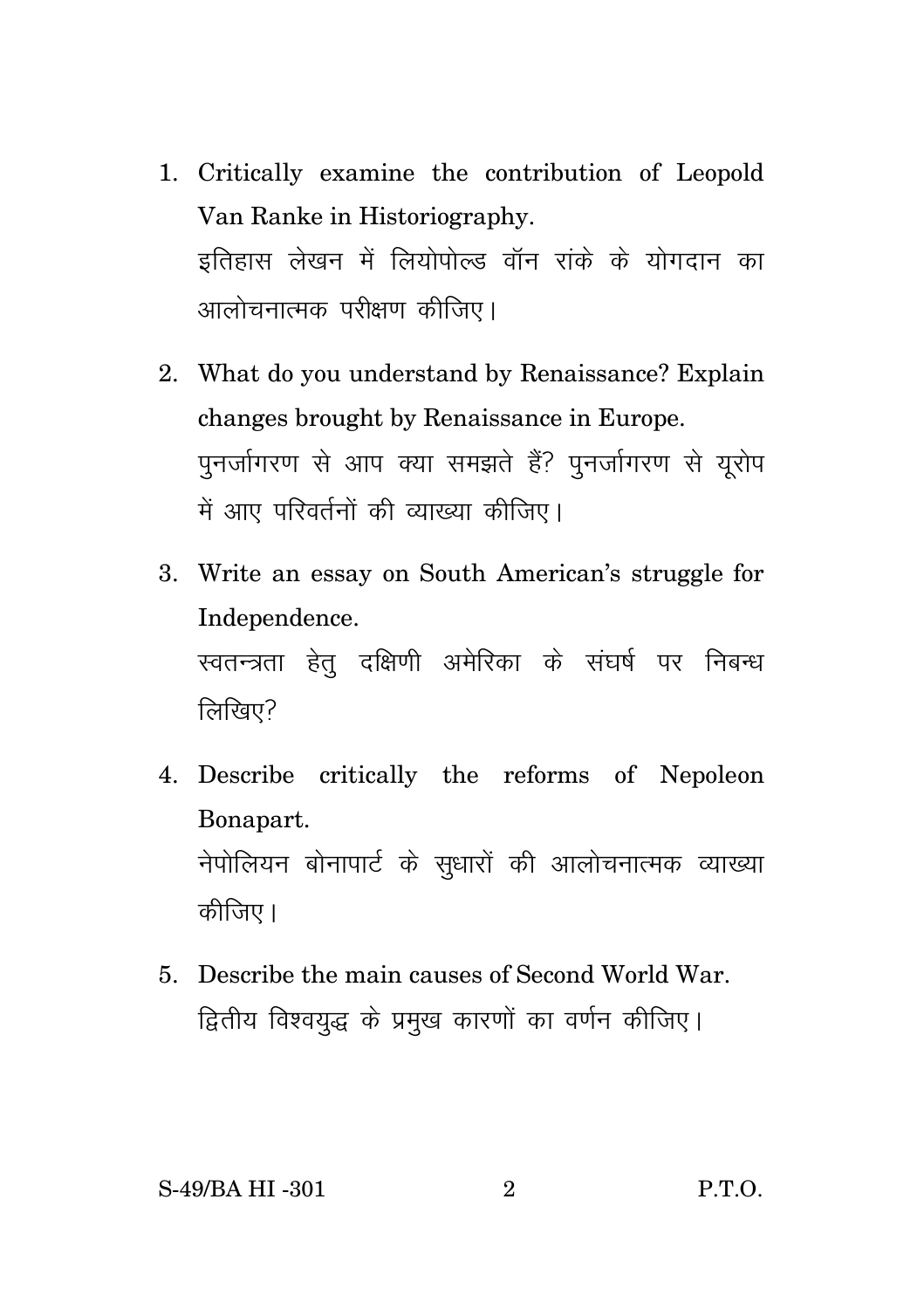- 1. Critically examine the contribution of Leopold Van Ranke in Historiography. इतिहास लेखन में लियोपोल्ड वॉन रांके के योगदान का आलोचनात्मक परीक्षण कीजिए।
- 2. What do you understand by Renaissance? Explain changes brought by Renaissance in Europe. पुनर्जागरण से आप क्या समझते हैं? पुनर्जागरण से युरोप में आए परिवर्तनों की व्याख्या कीजिए।
- 3. Write an essay on South American's struggle for Independence. स्वतन्त्रता हेतु दक्षिणी अमेरिका के संघर्ष पर निबन्ध लिखिए?
- 4. Describe critically the reforms of Nepoleon Bonapart. नेपोलियन बोनापार्ट के सुधारों की आलोचनात्मक व्याख्या कीजिए।
- 5. Describe the main causes of Second World War. द्वितीय विश्वयुद्ध के प्रमुख कारणों का वर्णन कीजिए।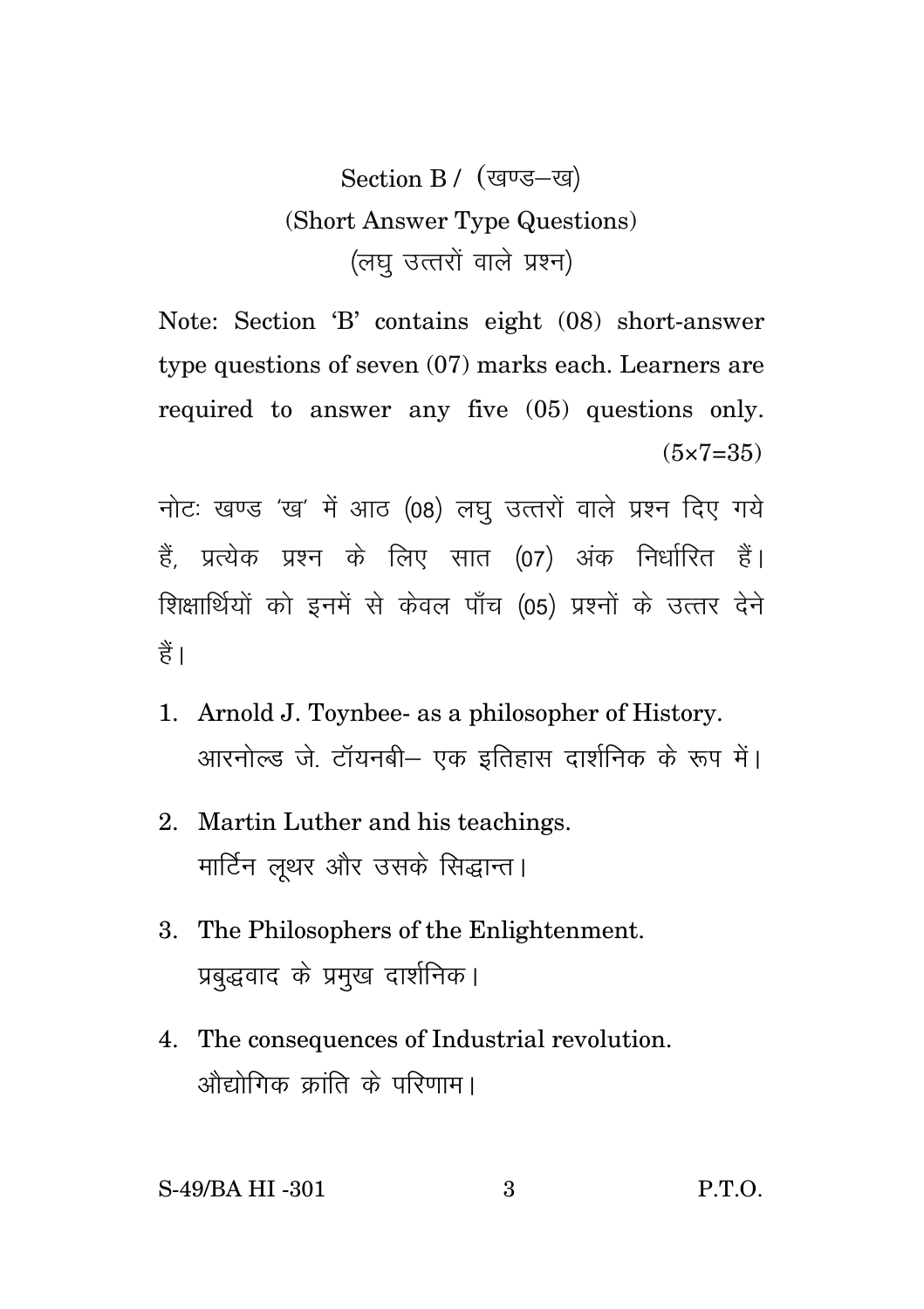## Section B / (खण्ड-ख) (Short Answer Type Questions) (लघु उत्तरों वाले प्रश्न)

Note: Section 'B' contains eight (08) short-answer type questions of seven (07) marks each. Learners are required to answer any five (05) questions only.  $(5 \times 7 = 35)$ 

नोटः खण्ड 'ख' में आठ (08) लघु उत्तरों वाले प्रश्न दिए गये हैं, प्रत्येक प्रश्न के लिए सात (07) अंक निर्धारित हैं। शिक्षार्थियों को इनमें से केवल पाँच (05) प्रश्नों के उत्तर देने हैं।

- 1. Arnold J. Toynbee- as a philosopher of History. आरनोल्ड जे. टॉयनबी– एक इतिहास दार्शनिक के रूप में।
- 2. Martin Luther and his teachings. मार्टिन लथर और उसके सिद्धान्त।
- 3. The Philosophers of the Enlightenment. प्रबद्धवाद के प्रमुख दार्शनिक।
- 4. The consequences of Industrial revolution. <u>औद्योगिक कांति के परिणाम।</u>